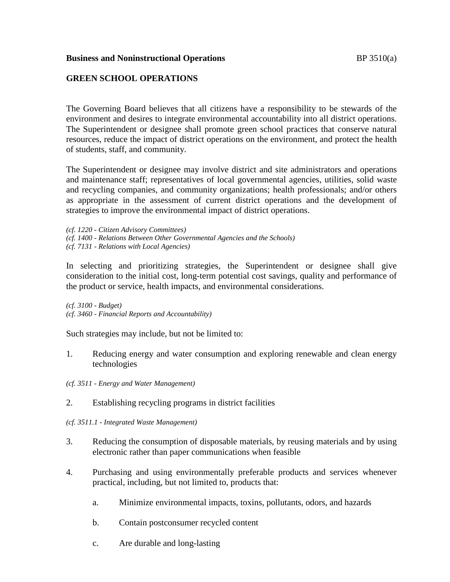### **Business and Noninstructional Operations BP** 3510(a)

## **GREEN SCHOOL OPERATIONS**

The Governing Board believes that all citizens have a responsibility to be stewards of the environment and desires to integrate environmental accountability into all district operations. The Superintendent or designee shall promote green school practices that conserve natural resources, reduce the impact of district operations on the environment, and protect the health of students, staff, and community.

The Superintendent or designee may involve district and site administrators and operations and maintenance staff; representatives of local governmental agencies, utilities, solid waste and recycling companies, and community organizations; health professionals; and/or others as appropriate in the assessment of current district operations and the development of strategies to improve the environmental impact of district operations.

*(cf. 1220 - Citizen Advisory Committees)*

- *(cf. 1400 - Relations Between Other Governmental Agencies and the Schools)*
- *(cf. 7131 - Relations with Local Agencies)*

In selecting and prioritizing strategies, the Superintendent or designee shall give consideration to the initial cost, long-term potential cost savings, quality and performance of the product or service, health impacts, and environmental considerations.

*(cf. 3100 - Budget) (cf. 3460 - Financial Reports and Accountability)*

Such strategies may include, but not be limited to:

- 1. Reducing energy and water consumption and exploring renewable and clean energy technologies
- *(cf. 3511 - Energy and Water Management)*
- 2. Establishing recycling programs in district facilities
- *(cf. 3511.1 - Integrated Waste Management)*
- 3. Reducing the consumption of disposable materials, by reusing materials and by using electronic rather than paper communications when feasible
- 4. Purchasing and using environmentally preferable products and services whenever practical, including, but not limited to, products that:
	- a. Minimize environmental impacts, toxins, pollutants, odors, and hazards
	- b. Contain postconsumer recycled content
	- c. Are durable and long-lasting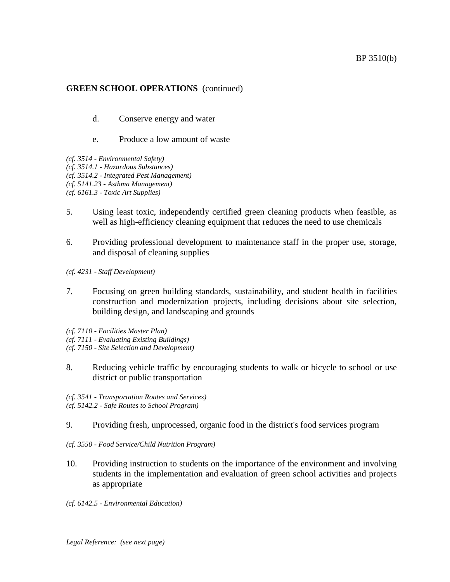# **GREEN SCHOOL OPERATIONS** (continued)

d. Conserve energy and water

### e. Produce a low amount of waste

- *(cf. 3514 - Environmental Safety)*
- *(cf. 3514.1 - Hazardous Substances)*
- *(cf. 3514.2 - Integrated Pest Management)*
- *(cf. 5141.23 - Asthma Management)*
- *(cf. 6161.3 - Toxic Art Supplies)*
- 5. Using least toxic, independently certified green cleaning products when feasible, as well as high-efficiency cleaning equipment that reduces the need to use chemicals
- 6. Providing professional development to maintenance staff in the proper use, storage, and disposal of cleaning supplies
- *(cf. 4231 - Staff Development)*
- 7. Focusing on green building standards, sustainability, and student health in facilities construction and modernization projects, including decisions about site selection, building design, and landscaping and grounds
- *(cf. 7110 - Facilities Master Plan)*
- *(cf. 7111 - Evaluating Existing Buildings)*
- *(cf. 7150 - Site Selection and Development)*
- 8. Reducing vehicle traffic by encouraging students to walk or bicycle to school or use district or public transportation
- *(cf. 3541 - Transportation Routes and Services) (cf. 5142.2 - Safe Routes to School Program)*
- 9. Providing fresh, unprocessed, organic food in the district's food services program
- *(cf. 3550 - Food Service/Child Nutrition Program)*
- 10. Providing instruction to students on the importance of the environment and involving students in the implementation and evaluation of green school activities and projects as appropriate
- *(cf. 6142.5 - Environmental Education)*

*Legal Reference: (see next page)*